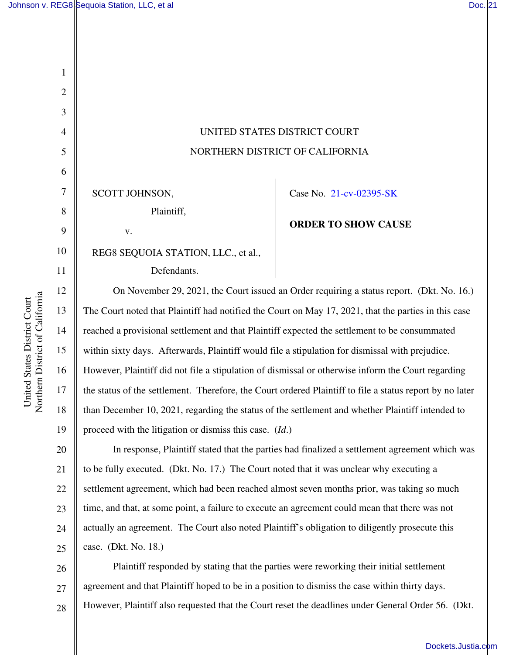1

2

3

4

5

6

7

8

9

10

11

12

13

14

15

16

17

18

19

21

## UNITED STATES DISTRICT COURT NORTHERN DISTRICT OF CALIFORNIA

SCOTT JOHNSON, Plaintiff,

v.

REG8 SEQUOIA STATION, LLC., et al.,

Defendants.

Case No. [21-cv-02395-SK](https://cand-ecf.sso.dcn/cgi-bin/DktRpt.pl?376203) 

## **ORDER TO SHOW CAUSE**

On November 29, 2021, the Court issued an Order requiring a status report. (Dkt. No. 16.) The Court noted that Plaintiff had notified the Court on May 17, 2021, that the parties in this case reached a provisional settlement and that Plaintiff expected the settlement to be consummated within sixty days. Afterwards, Plaintiff would file a stipulation for dismissal with prejudice. However, Plaintiff did not file a stipulation of dismissal or otherwise inform the Court regarding the status of the settlement. Therefore, the Court ordered Plaintiff to file a status report by no later than December 10, 2021, regarding the status of the settlement and whether Plaintiff intended to proceed with the litigation or dismiss this case. (*Id*.)

20 22 23 24 25 In response, Plaintiff stated that the parties had finalized a settlement agreement which was to be fully executed. (Dkt. No. 17.) The Court noted that it was unclear why executing a settlement agreement, which had been reached almost seven months prior, was taking so much time, and that, at some point, a failure to execute an agreement could mean that there was not actually an agreement. The Court also noted Plaintiff's obligation to diligently prosecute this case. (Dkt. No. 18.)

26 27 28 Plaintiff responded by stating that the parties were reworking their initial settlement agreement and that Plaintiff hoped to be in a position to dismiss the case within thirty days. However, Plaintiff also requested that the Court reset the deadlines under General Order 56. (Dkt.